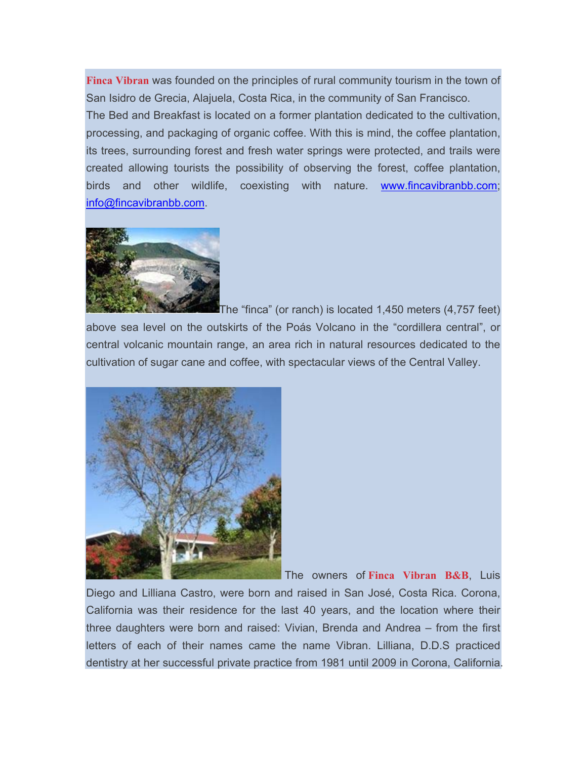**Finca Vibran** was founded on the principles of rural community tourism in the town of San Isidro de Grecia, Alajuela, Costa Rica, in the community of San Francisco. The Bed and Breakfast is located on a former plantation dedicated to the cultivation, processing, and packaging of organic coffee. With this is mind, the coffee plantation, its trees, surrounding forest and fresh water springs were protected, and trails were created allowing tourists the possibility of observing the forest, coffee plantation, birds and other wildlife, coexisting with nature. www.fincavibranbb.com; info@fincavibranbb.com.



The "finca" (or ranch) is located 1,450 meters (4,757 feet) above sea level on the outskirts of the Poás Volcano in the "cordillera central", or central volcanic mountain range, an area rich in natural resources dedicated to the cultivation of sugar cane and coffee, with spectacular views of the Central Valley.



The owners of **Finca Vibran B&B**, Luis

Diego and Lilliana Castro, were born and raised in San José, Costa Rica. Corona, California was their residence for the last 40 years, and the location where their three daughters were born and raised: Vivian, Brenda and Andrea – from the first letters of each of their names came the name Vibran. Lilliana, D.D.S practiced dentistry at her successful private practice from 1981 until 2009 in Corona, California.